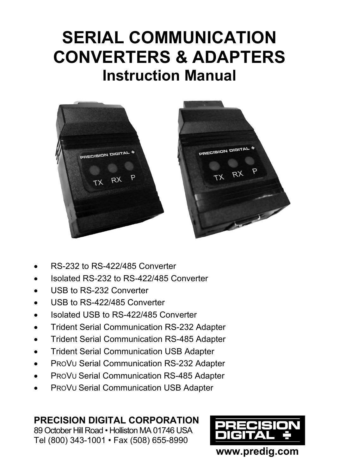# **SERIAL COMMUNICATION CONVERTERS & ADAPTERS Instruction Manual**



- RS-232 to RS-422/485 Converter
- Isolated RS-232 to RS-422/485 Converter
- USB to RS-232 Converter
- USB to RS-422/485 Converter
- Isolated USB to RS-422/485 Converter
- Trident Serial Communication RS-232 Adapter
- **•** Trident Serial Communication RS-485 Adapter
- **•** Trident Serial Communication USB Adapter
- PROVU Serial Communication RS-232 Adapter
- PROVU Serial Communication RS-485 Adapter
- PROVU Serial Communication USB Adapter

### **PRECISION DIGITAL CORPORATION**

89 October Hill Road • Holliston MA 01746 USA Tel (800) 343-1001 • Fax (508) 655-8990

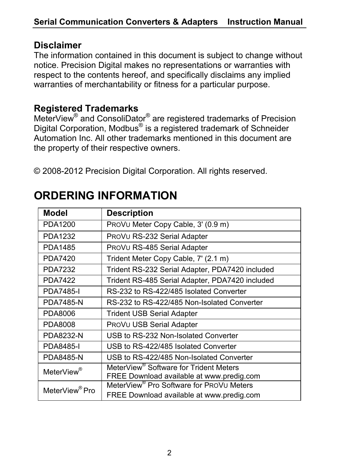#### **Disclaimer**

The information contained in this document is subject to change without notice. Precision Digital makes no representations or warranties with respect to the contents hereof, and specifically disclaims any implied warranties of merchantability or fitness for a particular purpose.

### **Registered Trademarks**

MeterView<sup>®</sup> and ConsoliDator<sup>®</sup> are registered trademarks of Precision Digital Corporation, Modbus® is a registered trademark of Schneider Automation Inc. All other trademarks mentioned in this document are the property of their respective owners.

© 2008-2012 Precision Digital Corporation. All rights reserved.

| Model                      | <b>Description</b>                                                                                |
|----------------------------|---------------------------------------------------------------------------------------------------|
| PDA1200                    | PROVU Meter Copy Cable, 3' (0.9 m)                                                                |
| PDA1232                    | PROVU RS-232 Serial Adapter                                                                       |
| PDA1485                    | PROVU RS-485 Serial Adapter                                                                       |
| PDA7420                    | Trident Meter Copy Cable, 7' (2.1 m)                                                              |
| <b>PDA7232</b>             | Trident RS-232 Serial Adapter, PDA7420 included                                                   |
| <b>PDA7422</b>             | Trident RS-485 Serial Adapter, PDA7420 included                                                   |
| <b>PDA7485-I</b>           | RS-232 to RS-422/485 Isolated Converter                                                           |
| <b>PDA7485-N</b>           | RS-232 to RS-422/485 Non-Isolated Converter                                                       |
| PDA8006                    | Trident USB Serial Adapter                                                                        |
| PDA8008                    | PROVU USB Serial Adapter                                                                          |
| <b>PDA8232-N</b>           | USB to RS-232 Non-Isolated Converter                                                              |
| <b>PDA8485-I</b>           | USB to RS-422/485 Isolated Converter                                                              |
| <b>PDA8485-N</b>           | USB to RS-422/485 Non-Isolated Converter                                                          |
| MeterView®                 | MeterView <sup>®</sup> Software for Trident Meters<br>FREE Download available at www.predig.com   |
| MeterView <sup>®</sup> Pro | MeterView <sup>®</sup> Pro Software for PROVU Meters<br>FREE Download available at www.predig.com |

## **ORDERING INFORMATION**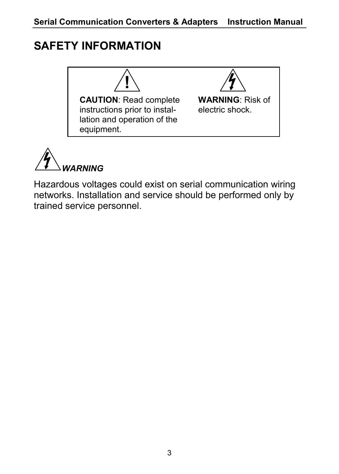## **SAFETY INFORMATION**





Hazardous voltages could exist on serial communication wiring networks. Installation and service should be performed only by trained service personnel.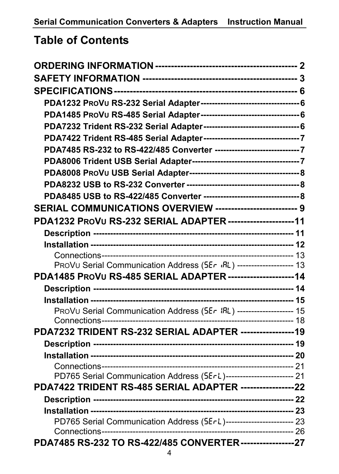## **Table of Contents**

| PDA7485 RS-232 to RS-422/485 Converter ---------------------------------7 |  |
|---------------------------------------------------------------------------|--|
|                                                                           |  |
|                                                                           |  |
|                                                                           |  |
|                                                                           |  |
| SERIAL COMMUNICATIONS OVERVIEW -------------------------- 9               |  |
| PDA1232 PROVU RS-232 SERIAL ADAPTER ---------------------11               |  |
|                                                                           |  |
|                                                                           |  |
|                                                                           |  |
| PROVU Serial Communication Address (5Er IRL) -------------------- 13      |  |
| PDA1485 PROVU RS-485 SERIAL ADAPTER ---------------------14               |  |
|                                                                           |  |
|                                                                           |  |
|                                                                           |  |
| PDA7232 TRIDENT RS-232 SERIAL ADAPTER -----------------19                 |  |
|                                                                           |  |
|                                                                           |  |
|                                                                           |  |
| PD765 Serial Communication Address (5ErL)------------------------ 21      |  |
| PDA7422 TRIDENT RS-485 SERIAL ADAPTER -----------------22                 |  |
|                                                                           |  |
|                                                                           |  |
| PD765 Serial Communication Address (5ErL)------------------------ 23      |  |
|                                                                           |  |
| PDA7485 RS-232 TO RS-422/485 CONVERTER------------------27                |  |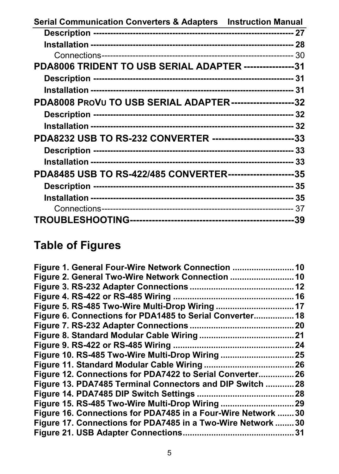| Serial Communication Converters & Adapters Instruction Manual |  |
|---------------------------------------------------------------|--|
|                                                               |  |
|                                                               |  |
|                                                               |  |
| PDA8006 TRIDENT TO USB SERIAL ADAPTER ----------------31      |  |
|                                                               |  |
|                                                               |  |
| PDA8008 PROVU TO USB SERIAL ADAPTER---------------------32    |  |
|                                                               |  |
|                                                               |  |
| PDA8232 USB TO RS-232 CONVERTER ---------------------------33 |  |
|                                                               |  |
|                                                               |  |
| PDA8485 USB TO RS-422/485 CONVERTER----------------------35   |  |
|                                                               |  |
|                                                               |  |
|                                                               |  |
|                                                               |  |

## **Table of Figures**

| Figure 2. General Two-Wire Network Connection                 |      |
|---------------------------------------------------------------|------|
|                                                               |      |
|                                                               |      |
|                                                               |      |
| Figure 6. Connections for PDA1485 to Serial Converter 18      |      |
|                                                               |      |
|                                                               |      |
|                                                               |      |
|                                                               |      |
|                                                               |      |
| Figure 12. Connections for PDA7422 to Serial Converter26      |      |
| Figure 13. PDA7485 Terminal Connectors and DIP Switch  28     |      |
|                                                               | . 28 |
|                                                               | . 29 |
| Figure 16. Connections for PDA7485 in a Four-Wire Network  30 |      |
| Figure 17. Connections for PDA7485 in a Two-Wire Network 30   |      |
|                                                               | .31  |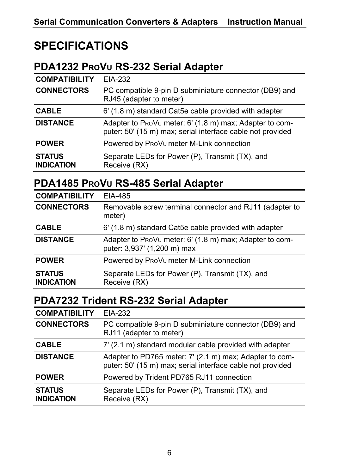## **SPECIFICATIONS**

## **PDA1232 PROVU RS-232 Serial Adapter**

| <b>COMPATIBILITY</b>               | EIA-232                                                                                                               |
|------------------------------------|-----------------------------------------------------------------------------------------------------------------------|
| <b>CONNECTORS</b>                  | PC compatible 9-pin D subminiature connector (DB9) and<br>RJ45 (adapter to meter)                                     |
| <b>CABLE</b>                       | 6' (1.8 m) standard Cat5e cable provided with adapter                                                                 |
| <b>DISTANCE</b>                    | Adapter to ProVu meter: 6' (1.8 m) max; Adapter to com-<br>puter: 50' (15 m) max; serial interface cable not provided |
| <b>POWER</b>                       | Powered by ProV <sub>u</sub> meter M-Link connection                                                                  |
| <b>STATUS</b><br><b>INDICATION</b> | Separate LEDs for Power (P), Transmit (TX), and<br>Receive (RX)                                                       |

### **PDA1485 PROVU RS-485 Serial Adapter**

| <b>COMPATIBILITY</b>               | EIA-485                                                                                |
|------------------------------------|----------------------------------------------------------------------------------------|
| <b>CONNECTORS</b>                  | Removable screw terminal connector and RJ11 (adapter to<br>meter)                      |
| <b>CABLE</b>                       | 6' (1.8 m) standard Cat5e cable provided with adapter                                  |
| <b>DISTANCE</b>                    | Adapter to ProVu meter: 6' (1.8 m) max; Adapter to com-<br>puter: 3,937' (1,200 m) max |
| <b>POWER</b>                       | Powered by ProV <sub>u</sub> meter M-Link connection                                   |
| <b>STATUS</b><br><b>INDICATION</b> | Separate LEDs for Power (P), Transmit (TX), and<br>Receive (RX)                        |

### **PDA7232 Trident RS-232 Serial Adapter**

| <b>COMPATIBILITY</b>               | EIA-232                                                                                                               |
|------------------------------------|-----------------------------------------------------------------------------------------------------------------------|
| <b>CONNECTORS</b>                  | PC compatible 9-pin D subminiature connector (DB9) and<br>RJ11 (adapter to meter)                                     |
| <b>CABLE</b>                       | 7' (2.1 m) standard modular cable provided with adapter                                                               |
| <b>DISTANCE</b>                    | Adapter to PD765 meter: 7' (2.1 m) max; Adapter to com-<br>puter: 50' (15 m) max; serial interface cable not provided |
| <b>POWER</b>                       | Powered by Trident PD765 RJ11 connection                                                                              |
| <b>STATUS</b><br><b>INDICATION</b> | Separate LEDs for Power (P), Transmit (TX), and<br>Receive (RX)                                                       |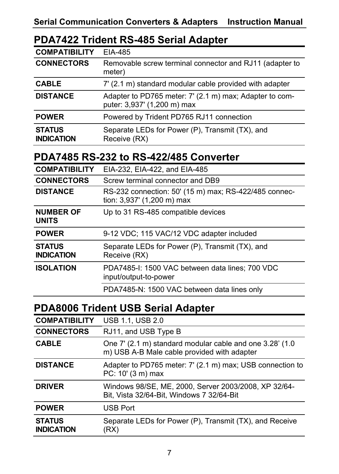#### **PDA7422 Trident RS-485 Serial Adapter**

| <b>COMPATIBILITY</b>               | EIA-485                                                                                |
|------------------------------------|----------------------------------------------------------------------------------------|
| <b>CONNECTORS</b>                  | Removable screw terminal connector and RJ11 (adapter to<br>meter)                      |
| <b>CABLE</b>                       | 7' (2.1 m) standard modular cable provided with adapter                                |
| <b>DISTANCE</b>                    | Adapter to PD765 meter: 7' (2.1 m) max; Adapter to com-<br>puter: 3,937' (1,200 m) max |
| <b>POWER</b>                       | Powered by Trident PD765 RJ11 connection                                               |
| <b>STATUS</b><br><b>INDICATION</b> | Separate LEDs for Power (P), Transmit (TX), and<br>Receive (RX)                        |

### **PDA7485 RS-232 to RS-422/485 Converter**

| <b>COMPATIBILITY</b>               | EIA-232, EIA-422, and EIA-485                                                       |
|------------------------------------|-------------------------------------------------------------------------------------|
| <b>CONNECTORS</b>                  | Screw terminal connector and DB9                                                    |
| <b>DISTANCE</b>                    | RS-232 connection: 50' (15 m) max; RS-422/485 connec-<br>tion: 3,937' (1,200 m) max |
| <b>NUMBER OF</b><br><b>UNITS</b>   | Up to 31 RS-485 compatible devices                                                  |
| <b>POWER</b>                       | 9-12 VDC; 115 VAC/12 VDC adapter included                                           |
| <b>STATUS</b><br><b>INDICATION</b> | Separate LEDs for Power (P), Transmit (TX), and<br>Receive (RX)                     |
| <b>ISOLATION</b>                   | PDA7485-I: 1500 VAC between data lines: 700 VDC<br>input/output-to-power            |
|                                    | PDA7485-N: 1500 VAC between data lines only                                         |

### **PDA8006 Trident USB Serial Adapter**

| <b>COMPATIBILITY</b>               | <b>USB 1.1, USB 2.0</b>                                                                                  |
|------------------------------------|----------------------------------------------------------------------------------------------------------|
| <b>CONNECTORS</b>                  | RJ11, and USB Type B                                                                                     |
| <b>CABLE</b>                       | One 7' (2.1 m) standard modular cable and one 3.28' (1.0)<br>m) USB A-B Male cable provided with adapter |
| <b>DISTANCE</b>                    | Adapter to PD765 meter: 7' (2.1 m) max; USB connection to<br>$PC: 10' (3 m)$ max                         |
| <b>DRIVER</b>                      | Windows 98/SE, ME, 2000, Server 2003/2008, XP 32/64-<br>Bit, Vista 32/64-Bit, Windows 7 32/64-Bit        |
| <b>POWER</b>                       | <b>USB Port</b>                                                                                          |
| <b>STATUS</b><br><b>INDICATION</b> | Separate LEDs for Power (P), Transmit (TX), and Receive<br>(RX)                                          |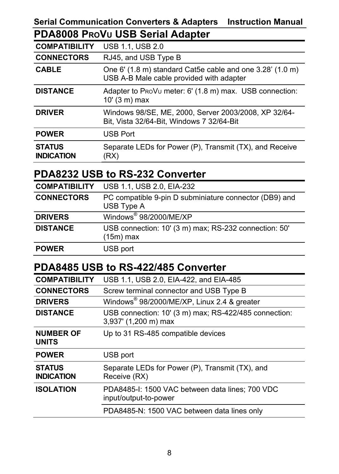#### **Serial Communication Converters & Adapters Instruction Manual PDA8008 PROVU USB Serial Adapter**

| <b>COMPATIBILITY</b>               | <b>USB 1.1, USB 2.0</b>                                                                               |
|------------------------------------|-------------------------------------------------------------------------------------------------------|
| <b>CONNECTORS</b>                  | RJ45, and USB Type B                                                                                  |
| <b>CABLE</b>                       | One 6' (1.8 m) standard Cat5e cable and one 3.28' (1.0 m)<br>USB A-B Male cable provided with adapter |
| <b>DISTANCE</b>                    | Adapter to ProVu meter: 6' (1.8 m) max. USB connection:<br>$10'$ (3 m) max                            |
| <b>DRIVER</b>                      | Windows 98/SE, ME, 2000, Server 2003/2008, XP 32/64-<br>Bit, Vista 32/64-Bit, Windows 7 32/64-Bit     |
| <b>POWER</b>                       | <b>USB Port</b>                                                                                       |
| <b>STATUS</b><br><b>INDICATION</b> | Separate LEDs for Power (P), Transmit (TX), and Receive<br>(RX)                                       |

### **PDA8232 USB to RS-232 Converter**

| <b>COMPATIBILITY</b> | USB 1.1, USB 2.0, EIA-232                                            |
|----------------------|----------------------------------------------------------------------|
| <b>CONNECTORS</b>    | PC compatible 9-pin D subminiature connector (DB9) and<br>USB Type A |
| <b>DRIVERS</b>       | Windows <sup>®</sup> 98/2000/ME/XP                                   |
| <b>DISTANCE</b>      | USB connection: 10' (3 m) max; RS-232 connection: 50'<br>(15m) max   |
| <b>POWER</b>         | USB port                                                             |

### **PDA8485 USB to RS-422/485 Converter**

| <b>COMPATIBILITY</b>               | USB 1.1, USB 2.0, EIA-422, and EIA-485                                        |
|------------------------------------|-------------------------------------------------------------------------------|
| <b>CONNECTORS</b>                  | Screw terminal connector and USB Type B                                       |
| <b>DRIVERS</b>                     | Windows® 98/2000/ME/XP, Linux 2.4 & greater                                   |
| <b>DISTANCE</b>                    | USB connection: 10' (3 m) max; RS-422/485 connection:<br>3,937' (1,200 m) max |
| <b>NUMBER OF</b><br><b>UNITS</b>   | Up to 31 RS-485 compatible devices                                            |
| <b>POWER</b>                       | USB port                                                                      |
| <b>STATUS</b><br><b>INDICATION</b> | Separate LEDs for Power (P), Transmit (TX), and<br>Receive (RX)               |
| <b>ISOLATION</b>                   | PDA8485-I: 1500 VAC between data lines: 700 VDC<br>input/output-to-power      |
|                                    | PDA8485-N: 1500 VAC between data lines only                                   |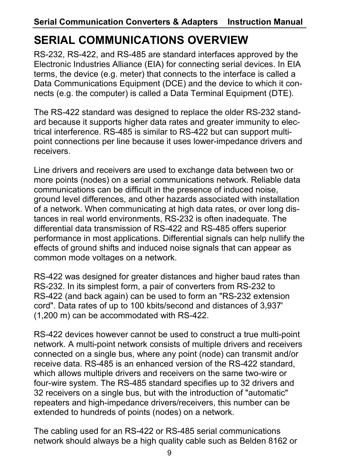## **SERIAL COMMUNICATIONS OVERVIEW**

RS-232, RS-422, and RS-485 are standard interfaces approved by the Electronic Industries Alliance (EIA) for connecting serial devices. In EIA terms, the device (e.g. meter) that connects to the interface is called a Data Communications Equipment (DCE) and the device to which it connects (e.g. the computer) is called a Data Terminal Equipment (DTE).

The RS-422 standard was designed to replace the older RS-232 standard because it supports higher data rates and greater immunity to electrical interference. RS-485 is similar to RS-422 but can support multipoint connections per line because it uses lower-impedance drivers and receivers.

Line drivers and receivers are used to exchange data between two or more points (nodes) on a serial communications network. Reliable data communications can be difficult in the presence of induced noise, ground level differences, and other hazards associated with installation of a network. When communicating at high data rates, or over long distances in real world environments, RS-232 is often inadequate. The differential data transmission of RS-422 and RS-485 offers superior performance in most applications. Differential signals can help nullify the effects of ground shifts and induced noise signals that can appear as common mode voltages on a network.

RS-422 was designed for greater distances and higher baud rates than RS-232. In its simplest form, a pair of converters from RS-232 to RS-422 (and back again) can be used to form an "RS-232 extension cord". Data rates of up to 100 kbits/second and distances of 3,937' (1,200 m) can be accommodated with RS-422.

RS-422 devices however cannot be used to construct a true multi-point network. A multi-point network consists of multiple drivers and receivers connected on a single bus, where any point (node) can transmit and/or receive data. RS-485 is an enhanced version of the RS-422 standard, which allows multiple drivers and receivers on the same two-wire or four-wire system. The RS-485 standard specifies up to 32 drivers and 32 receivers on a single bus, but with the introduction of "automatic" repeaters and high-impedance drivers/receivers, this number can be extended to hundreds of points (nodes) on a network.

The cabling used for an RS-422 or RS-485 serial communications network should always be a high quality cable such as Belden 8162 or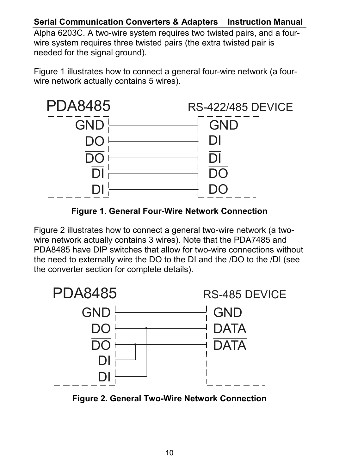#### **Serial Communication Converters & Adapters Instruction Manual**

Alpha 6203C. A two-wire system requires two twisted pairs, and a fourwire system requires three twisted pairs (the extra twisted pair is needed for the signal ground).

Figure 1 illustrates how to connect a general four-wire network (a fourwire network actually contains 5 wires).



**Figure 1. General Four-Wire Network Connection** 

Figure 2 illustrates how to connect a general two-wire network (a twowire network actually contains 3 wires). Note that the PDA7485 and PDA8485 have DIP switches that allow for two-wire connections without the need to externally wire the DO to the DI and the /DO to the /DI (see the converter section for complete details).



**Figure 2. General Two-Wire Network Connection**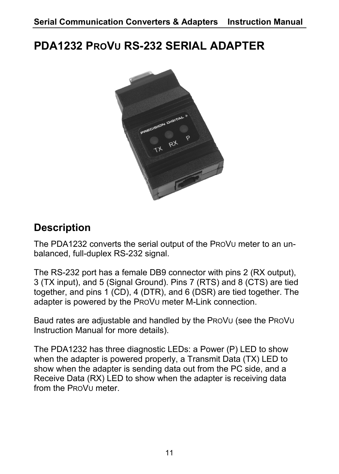## **PDA1232 PROVU RS-232 SERIAL ADAPTER**



## **Description**

The PDA1232 converts the serial output of the PROVU meter to an unbalanced, full-duplex RS-232 signal.

The RS-232 port has a female DB9 connector with pins 2 (RX output), 3 (TX input), and 5 (Signal Ground). Pins 7 (RTS) and 8 (CTS) are tied together, and pins 1 (CD), 4 (DTR), and 6 (DSR) are tied together. The adapter is powered by the PROVU meter M-Link connection.

Baud rates are adjustable and handled by the PROVU (see the PROVU Instruction Manual for more details).

The PDA1232 has three diagnostic LEDs: a Power (P) LED to show when the adapter is powered properly, a Transmit Data (TX) LED to show when the adapter is sending data out from the PC side, and a Receive Data (RX) LED to show when the adapter is receiving data from the PROVU meter.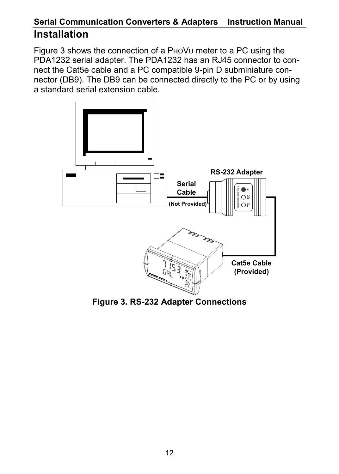### **Serial Communication Converters & Adapters Instruction Manual Installation**

Figure 3 shows the connection of a PROVU meter to a PC using the PDA1232 serial adapter. The PDA1232 has an RJ45 connector to connect the Cat5e cable and a PC compatible 9-pin D subminiature connector (DB9). The DB9 can be connected directly to the PC or by using a standard serial extension cable.



**Figure 3. RS-232 Adapter Connections**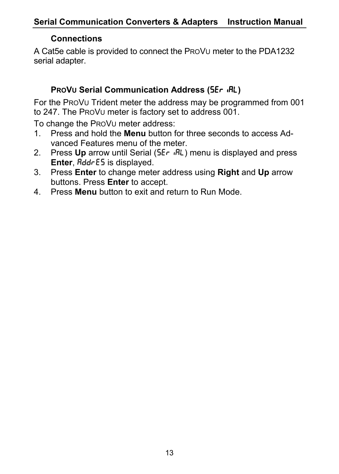### **Connections**

A Cat5e cable is provided to connect the PROVU meter to the PDA1232 serial adapter.

#### **PROVU Serial Communication Address (SEr IRL)**

For the PROVU Trident meter the address may be programmed from 001 to 247. The PROVU meter is factory set to address 001.

To change the PROVU meter address:

- 1. Press and hold the **Menu** button for three seconds to access Advanced Features menu of the meter.
- 2. Press Up arrow until Serial (5Er  $\partial R$ L) menu is displayed and press **Enter, Bddr E5 is displayed.**
- 3. Press **Enter** to change meter address using **Right** and **Up** arrow buttons. Press **Enter** to accept.
- 4. Press **Menu** button to exit and return to Run Mode.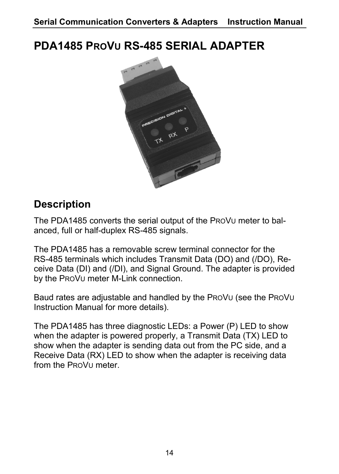## **PDA1485 PROVU RS-485 SERIAL ADAPTER**



## **Description**

The PDA1485 converts the serial output of the PROVU meter to balanced, full or half-duplex RS-485 signals.

The PDA1485 has a removable screw terminal connector for the RS-485 terminals which includes Transmit Data (DO) and (/DO), Receive Data (DI) and (/DI), and Signal Ground. The adapter is provided by the PROVU meter M-Link connection.

Baud rates are adjustable and handled by the PROVU (see the PROVU Instruction Manual for more details).

The PDA1485 has three diagnostic LEDs: a Power (P) LED to show when the adapter is powered properly, a Transmit Data (TX) LED to show when the adapter is sending data out from the PC side, and a Receive Data (RX) LED to show when the adapter is receiving data from the PROVU meter.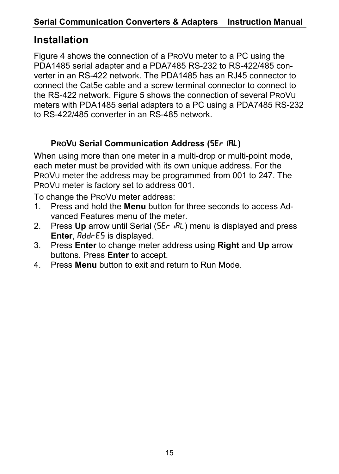## **Installation**

Figure 4 shows the connection of a PROVU meter to a PC using the PDA1485 serial adapter and a PDA7485 RS-232 to RS-422/485 converter in an RS-422 network. The PDA1485 has an RJ45 connector to connect the Cat5e cable and a screw terminal connector to connect to the RS-422 network. Figure 5 shows the connection of several PROVU meters with PDA1485 serial adapters to a PC using a PDA7485 RS-232 to RS-422/485 converter in an RS-485 network.

#### **PROVU Serial Communication Address (SEr IRL)**

When using more than one meter in a multi-drop or multi-point mode, each meter must be provided with its own unique address. For the PROVU meter the address may be programmed from 001 to 247. The PROVU meter is factory set to address 001.

To change the PROVU meter address:

- 1. Press and hold the **Menu** button for three seconds to access Advanced Features menu of the meter.
- 2. Press Up arrow until Serial (5Er .RL) menu is displayed and press **Enter, BddrE5** is displayed.
- 3. Press **Enter** to change meter address using **Right** and **Up** arrow buttons. Press **Enter** to accept.
- 4. Press **Menu** button to exit and return to Run Mode.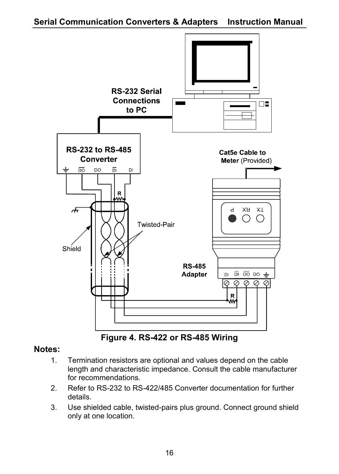

**Figure 4. RS-422 or RS-485 Wiring** 

#### **Notes:**

- 1. Termination resistors are optional and values depend on the cable length and characteristic impedance. Consult the cable manufacturer for recommendations.
- 2. Refer to RS-232 to RS-422/485 Converter documentation for further details.
- 3. Use shielded cable, twisted-pairs plus ground. Connect ground shield only at one location.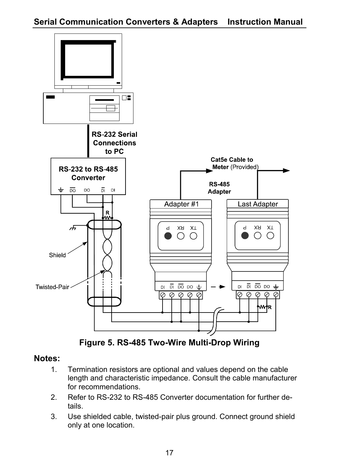

**Figure 5. RS-485 Two-Wire Multi-Drop Wiring** 

#### **Notes:**

- 1. Termination resistors are optional and values depend on the cable length and characteristic impedance. Consult the cable manufacturer for recommendations.
- 2. Refer to RS-232 to RS-485 Converter documentation for further details.
- 3. Use shielded cable, twisted-pair plus ground. Connect ground shield only at one location.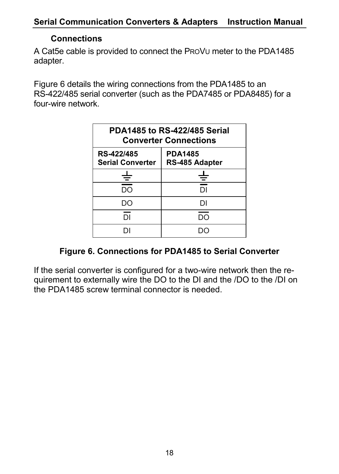#### **Connections**

A Cat5e cable is provided to connect the PROVU meter to the PDA1485 adapter.

Figure 6 details the wiring connections from the PDA1485 to an RS-422/485 serial converter (such as the PDA7485 or PDA8485) for a four-wire network.

| PDA1485 to RS-422/485 Serial<br><b>Converter Connections</b> |                                  |
|--------------------------------------------------------------|----------------------------------|
| RS-422/485<br><b>Serial Converter</b>                        | <b>PDA1485</b><br>RS-485 Adapter |
| ≑                                                            | ≑                                |
| DO                                                           | וח                               |
| DO                                                           | DΙ                               |
| DΙ                                                           | חח                               |
|                                                              |                                  |

#### **Figure 6. Connections for PDA1485 to Serial Converter**

If the serial converter is configured for a two-wire network then the requirement to externally wire the DO to the DI and the /DO to the /DI on the PDA1485 screw terminal connector is needed.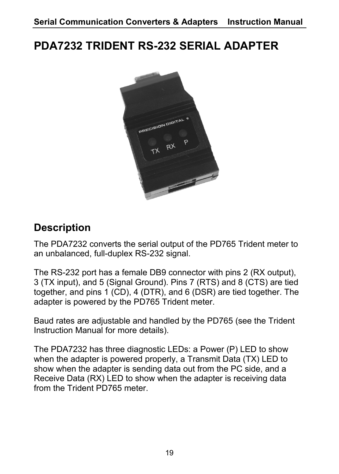## **PDA7232 TRIDENT RS-232 SERIAL ADAPTER**



### **Description**

The PDA7232 converts the serial output of the PD765 Trident meter to an unbalanced, full-duplex RS-232 signal.

The RS-232 port has a female DB9 connector with pins 2 (RX output), 3 (TX input), and 5 (Signal Ground). Pins 7 (RTS) and 8 (CTS) are tied together, and pins 1 (CD), 4 (DTR), and 6 (DSR) are tied together. The adapter is powered by the PD765 Trident meter.

Baud rates are adjustable and handled by the PD765 (see the Trident Instruction Manual for more details).

The PDA7232 has three diagnostic LEDs: a Power (P) LED to show when the adapter is powered properly, a Transmit Data (TX) LED to show when the adapter is sending data out from the PC side, and a Receive Data (RX) LED to show when the adapter is receiving data from the Trident PD765 meter.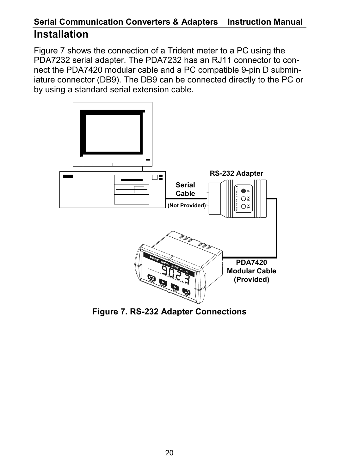### **Serial Communication Converters & Adapters Instruction Manual Installation**

Figure 7 shows the connection of a Trident meter to a PC using the PDA7232 serial adapter. The PDA7232 has an RJ11 connector to connect the PDA7420 modular cable and a PC compatible 9-pin D subminiature connector (DB9). The DB9 can be connected directly to the PC or by using a standard serial extension cable.



**Figure 7. RS-232 Adapter Connections**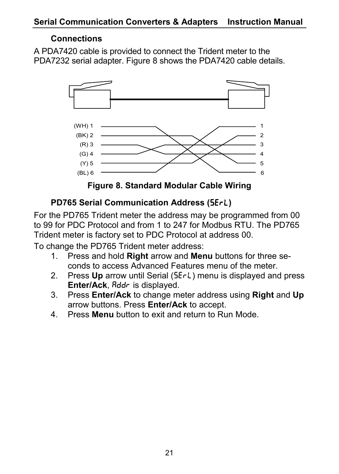#### **Connections**

A PDA7420 cable is provided to connect the Trident meter to the PDA7232 serial adapter. Figure 8 shows the PDA7420 cable details.



**Figure 8. Standard Modular Cable Wiring** 

### **PD765 Serial Communication Address (5ErL)**

For the PD765 Trident meter the address may be programmed from 00 to 99 for PDC Protocol and from 1 to 247 for Modbus RTU. The PD765 Trident meter is factory set to PDC Protocol at address 00.

To change the PD765 Trident meter address:

- 1. Press and hold **Right** arrow and **Menu** buttons for three seconds to access Advanced Features menu of the meter.
- 2. Press **Up** arrow until Serial (SErL) menu is displayed and press Enter/Ack, Rddr is displayed.
- 3. Press **Enter/Ack** to change meter address using **Right** and **Up** arrow buttons. Press **Enter/Ack** to accept.
- 4. Press **Menu** button to exit and return to Run Mode.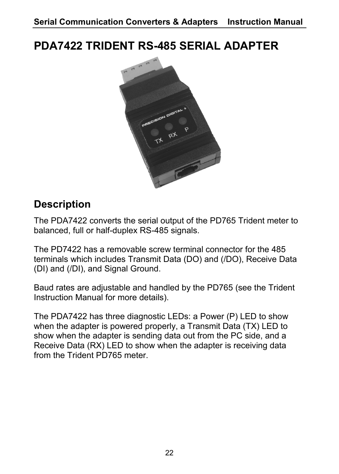## **PDA7422 TRIDENT RS-485 SERIAL ADAPTER**



## **Description**

The PDA7422 converts the serial output of the PD765 Trident meter to balanced, full or half-duplex RS-485 signals.

The PD7422 has a removable screw terminal connector for the 485 terminals which includes Transmit Data (DO) and (/DO), Receive Data (DI) and (/DI), and Signal Ground.

Baud rates are adjustable and handled by the PD765 (see the Trident Instruction Manual for more details).

The PDA7422 has three diagnostic LEDs: a Power (P) LED to show when the adapter is powered properly, a Transmit Data (TX) LED to show when the adapter is sending data out from the PC side, and a Receive Data (RX) LED to show when the adapter is receiving data from the Trident PD765 meter.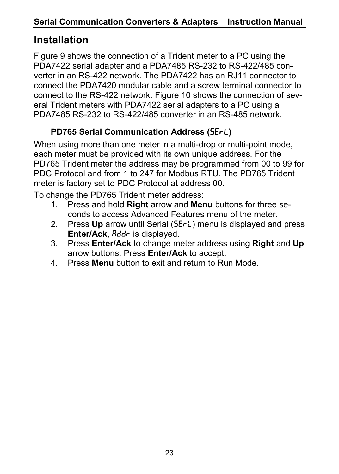## **Installation**

Figure 9 shows the connection of a Trident meter to a PC using the PDA7422 serial adapter and a PDA7485 RS-232 to RS-422/485 converter in an RS-422 network. The PDA7422 has an RJ11 connector to connect the PDA7420 modular cable and a screw terminal connector to connect to the RS-422 network. Figure 10 shows the connection of several Trident meters with PDA7422 serial adapters to a PC using a PDA7485 RS-232 to RS-422/485 converter in an RS-485 network.

### **PD765 Serial Communication Address (5ErL)**

When using more than one meter in a multi-drop or multi-point mode, each meter must be provided with its own unique address. For the PD765 Trident meter the address may be programmed from 00 to 99 for PDC Protocol and from 1 to 247 for Modbus RTU. The PD765 Trident meter is factory set to PDC Protocol at address 00.

To change the PD765 Trident meter address:

- 1. Press and hold **Right** arrow and **Menu** buttons for three seconds to access Advanced Features menu of the meter.
- 2. Press **Up** arrow until Serial (SErL) menu is displayed and press **Enter/Ack,** *Rddr* is displayed.
- 3. Press **Enter/Ack** to change meter address using **Right** and **Up** arrow buttons. Press **Enter/Ack** to accept.
- 4. Press **Menu** button to exit and return to Run Mode.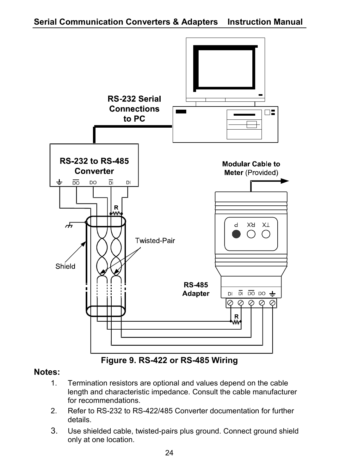

**Figure 9. RS-422 or RS-485 Wiring** 

#### **Notes:**

- 1. Termination resistors are optional and values depend on the cable length and characteristic impedance. Consult the cable manufacturer for recommendations.
- 2. Refer to RS-232 to RS-422/485 Converter documentation for further details.
- 3. Use shielded cable, twisted-pairs plus ground. Connect ground shield only at one location.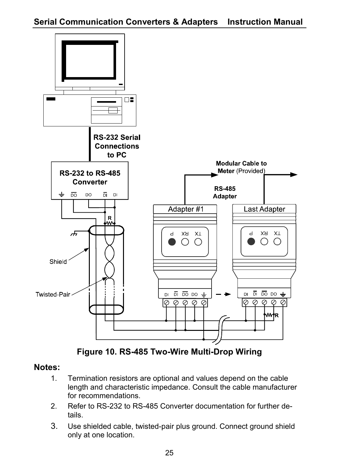

**Figure 10. RS-485 Two-Wire Multi-Drop Wiring** 

#### **Notes:**

- 1. Termination resistors are optional and values depend on the cable length and characteristic impedance. Consult the cable manufacturer for recommendations.
- 2. Refer to RS-232 to RS-485 Converter documentation for further details.
- 3. Use shielded cable, twisted-pair plus ground. Connect ground shield only at one location.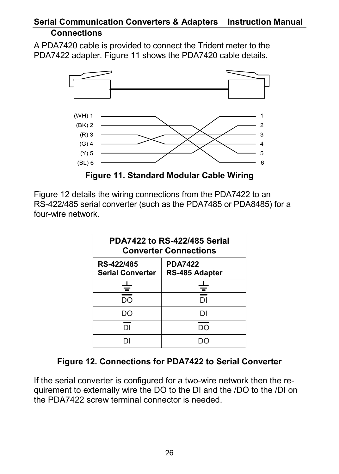#### **Serial Communication Converters & Adapters Instruction Manual Connections**

A PDA7420 cable is provided to connect the Trident meter to the PDA7422 adapter. Figure 11 shows the PDA7420 cable details.



**Figure 11. Standard Modular Cable Wiring** 

Figure 12 details the wiring connections from the PDA7422 to an RS-422/485 serial converter (such as the PDA7485 or PDA8485) for a four-wire network.

| PDA7422 to RS-422/485 Serial<br><b>Converter Connections</b> |                                  |
|--------------------------------------------------------------|----------------------------------|
| RS-422/485<br><b>Serial Converter</b>                        | <b>PDA7422</b><br>RS-485 Adapter |
| Ξ                                                            |                                  |
| DO                                                           | DΙ                               |
| DΟ                                                           | וח                               |
| <b>DI</b>                                                    | חח                               |
|                                                              |                                  |

#### **Figure 12. Connections for PDA7422 to Serial Converter**

If the serial converter is configured for a two-wire network then the requirement to externally wire the DO to the DI and the /DO to the /DI on the PDA7422 screw terminal connector is needed.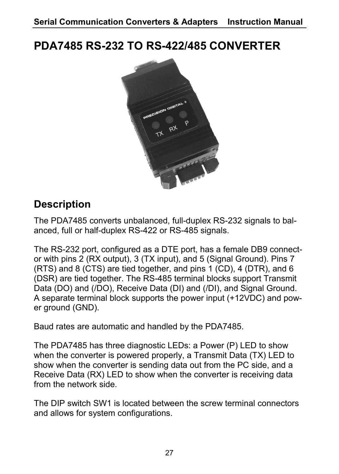**PDA7485 RS-232 TO RS-422/485 CONVERTER** 



## **Description**

The PDA7485 converts unbalanced, full-duplex RS-232 signals to balanced, full or half-duplex RS-422 or RS-485 signals.

The RS-232 port, configured as a DTE port, has a female DB9 connector with pins 2 (RX output), 3 (TX input), and 5 (Signal Ground). Pins 7 (RTS) and 8 (CTS) are tied together, and pins 1 (CD), 4 (DTR), and 6 (DSR) are tied together. The RS-485 terminal blocks support Transmit Data (DO) and (/DO), Receive Data (DI) and (/DI), and Signal Ground. A separate terminal block supports the power input (+12VDC) and power ground (GND).

Baud rates are automatic and handled by the PDA7485.

The PDA7485 has three diagnostic LEDs: a Power (P) LED to show when the converter is powered properly, a Transmit Data (TX) LED to show when the converter is sending data out from the PC side, and a Receive Data (RX) LED to show when the converter is receiving data from the network side.

The DIP switch SW1 is located between the screw terminal connectors and allows for system configurations.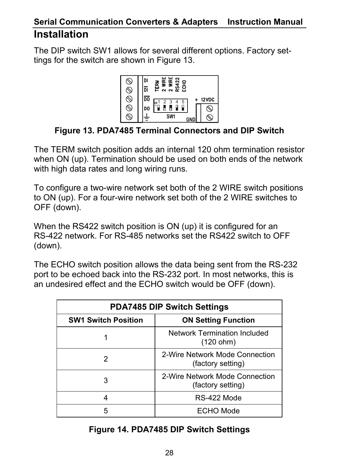### **Serial Communication Converters & Adapters Instruction Manual Installation**

The DIP switch SW1 allows for several different options. Factory settings for the switch are shown in Figure 13.



#### **Figure 13. PDA7485 Terminal Connectors and DIP Switch**

The TERM switch position adds an internal 120 ohm termination resistor when ON (up). Termination should be used on both ends of the network with high data rates and long wiring runs.

To configure a two-wire network set both of the 2 WIRE switch positions to ON (up). For a four-wire network set both of the 2 WIRE switches to OFF (down).

When the RS422 switch position is ON (up) it is configured for an RS-422 network. For RS-485 networks set the RS422 switch to OFF (down).

The ECHO switch position allows the data being sent from the RS-232 port to be echoed back into the RS-232 port. In most networks, this is an undesired effect and the ECHO switch would be OFF (down).

| <b>PDA7485 DIP Switch Settings</b> |                                                     |  |
|------------------------------------|-----------------------------------------------------|--|
| <b>SW1 Switch Position</b>         | <b>ON Setting Function</b>                          |  |
|                                    | Network Termination Included<br>(120 ohm)           |  |
| 2                                  | 2-Wire Network Mode Connection<br>(factory setting) |  |
| 3                                  | 2-Wire Network Mode Connection<br>(factory setting) |  |
| 4                                  | RS-422 Mode                                         |  |
| 5                                  | <b>ECHO Mode</b>                                    |  |

#### **Figure 14. PDA7485 DIP Switch Settings**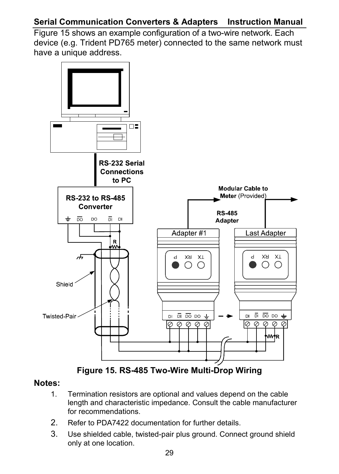### **Serial Communication Converters & Adapters Instruction Manual**

Figure 15 shows an example configuration of a two-wire network. Each device (e.g. Trident PD765 meter) connected to the same network must have a unique address.



**Figure 15. RS-485 Two-Wire Multi-Drop Wiring** 

#### **Notes:**

- 1. Termination resistors are optional and values depend on the cable length and characteristic impedance. Consult the cable manufacturer for recommendations.
- 2. Refer to PDA7422 documentation for further details.
- 3. Use shielded cable, twisted-pair plus ground. Connect ground shield only at one location.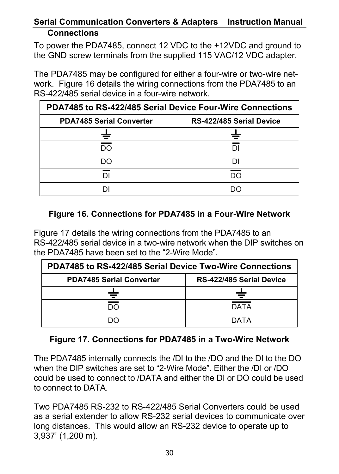#### **Serial Communication Converters & Adapters Instruction Manual Connections**

To power the PDA7485, connect 12 VDC to the +12VDC and ground to the GND screw terminals from the supplied 115 VAC/12 VDC adapter.

The PDA7485 may be configured for either a four-wire or two-wire network. Figure 16 details the wiring connections from the PDA7485 to an RS-422/485 serial device in a four-wire network.

| PDA7485 to RS-422/485 Serial Device Four-Wire Connections |                          |
|-----------------------------------------------------------|--------------------------|
| <b>PDA7485 Serial Converter</b>                           | RS-422/485 Serial Device |
|                                                           |                          |
| חח                                                        |                          |
| חח                                                        |                          |
|                                                           | חח                       |
|                                                           |                          |

#### **Figure 16. Connections for PDA7485 in a Four-Wire Network**

Figure 17 details the wiring connections from the PDA7485 to an RS-422/485 serial device in a two-wire network when the DIP switches on the PDA7485 have been set to the "2-Wire Mode".

| PDA7485 to RS-422/485 Serial Device Two-Wire Connections |                          |
|----------------------------------------------------------|--------------------------|
| <b>PDA7485 Serial Converter</b>                          | RS-422/485 Serial Device |
|                                                          |                          |
| חח                                                       | <b>DATA</b>              |
| חר                                                       | DATA                     |

#### **Figure 17. Connections for PDA7485 in a Two-Wire Network**

The PDA7485 internally connects the /DI to the /DO and the DI to the DO when the DIP switches are set to "2-Wire Mode". Either the /DI or /DO could be used to connect to /DATA and either the DI or DO could be used to connect to DATA.

Two PDA7485 RS-232 to RS-422/485 Serial Converters could be used as a serial extender to allow RS-232 serial devices to communicate over long distances. This would allow an RS-232 device to operate up to 3,937' (1,200 m).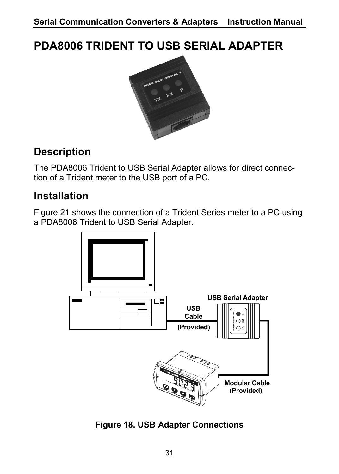## **PDA8006 TRIDENT TO USB SERIAL ADAPTER**



## **Description**

The PDA8006 Trident to USB Serial Adapter allows for direct connection of a Trident meter to the USB port of a PC.

## **Installation**

Figure 21 shows the connection of a Trident Series meter to a PC using a PDA8006 Trident to USB Serial Adapter.



**Figure 18. USB Adapter Connections**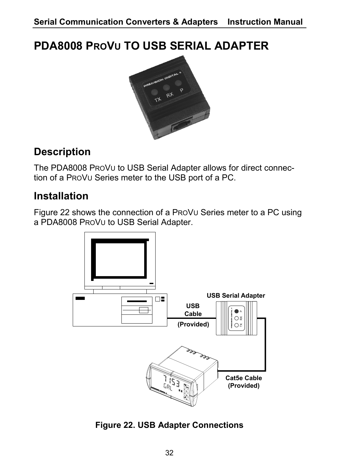## **PDA8008 PROVU TO USB SERIAL ADAPTER**



## **Description**

The PDA8008 PROVU to USB Serial Adapter allows for direct connection of a PROVU Series meter to the USB port of a PC.

## **Installation**

Figure 22 shows the connection of a PROVU Series meter to a PC using a PDA8008 PROVU to USB Serial Adapter.



**Figure 22. USB Adapter Connections**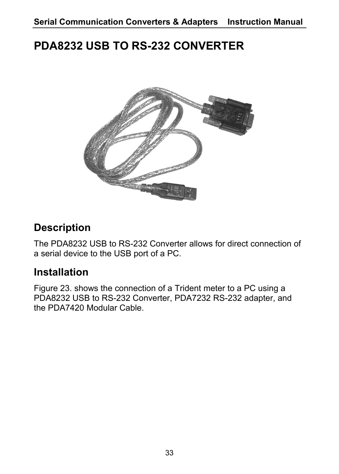## **PDA8232 USB TO RS-232 CONVERTER**



## **Description**

The PDA8232 USB to RS-232 Converter allows for direct connection of a serial device to the USB port of a PC.

### **Installation**

Figure 23. shows the connection of a Trident meter to a PC using a PDA8232 USB to RS-232 Converter, PDA7232 RS-232 adapter, and the PDA7420 Modular Cable.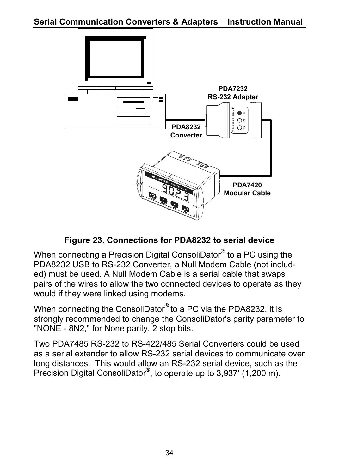

#### **Figure 23. Connections for PDA8232 to serial device**

When connecting a Precision Digital ConsoliDator® to a PC using the PDA8232 USB to RS-232 Converter, a Null Modem Cable (not included) must be used. A Null Modem Cable is a serial cable that swaps pairs of the wires to allow the two connected devices to operate as they would if they were linked using modems.

When connecting the ConsoliDator<sup>®</sup> to a PC via the PDA8232, it is strongly recommended to change the ConsoliDator's parity parameter to "NONE - 8N2," for None parity, 2 stop bits.

Two PDA7485 RS-232 to RS-422/485 Serial Converters could be used as a serial extender to allow RS-232 serial devices to communicate over long distances. This would allow an RS-232 serial device, such as the Precision Digital ConsoliDator<sup>®</sup>, to operate up to 3,937' (1,200 m).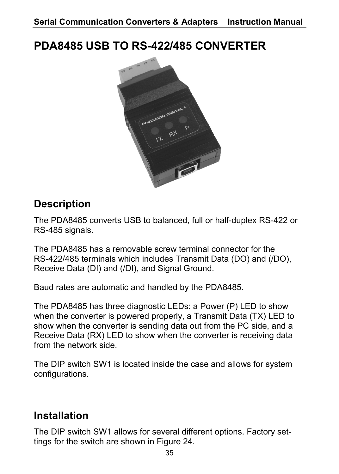## **PDA8485 USB TO RS-422/485 CONVERTER**



## **Description**

The PDA8485 converts USB to balanced, full or half-duplex RS-422 or RS-485 signals.

The PDA8485 has a removable screw terminal connector for the RS-422/485 terminals which includes Transmit Data (DO) and (/DO), Receive Data (DI) and (/DI), and Signal Ground.

Baud rates are automatic and handled by the PDA8485.

The PDA8485 has three diagnostic LEDs: a Power (P) LED to show when the converter is powered properly, a Transmit Data (TX) LED to show when the converter is sending data out from the PC side, and a Receive Data (RX) LED to show when the converter is receiving data from the network side.

The DIP switch SW1 is located inside the case and allows for system configurations.

### **Installation**

The DIP switch SW1 allows for several different options. Factory settings for the switch are shown in Figure 24.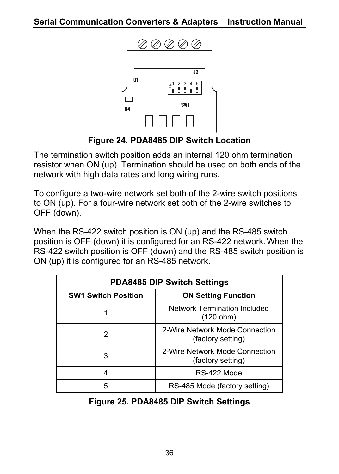

**Figure 24. PDA8485 DIP Switch Location** 

The termination switch position adds an internal 120 ohm termination resistor when ON (up). Termination should be used on both ends of the network with high data rates and long wiring runs.

To configure a two-wire network set both of the 2-wire switch positions to ON (up). For a four-wire network set both of the 2-wire switches to OFF (down).

When the RS-422 switch position is ON (up) and the RS-485 switch position is OFF (down) it is configured for an RS-422 network.When the RS-422 switch position is OFF (down) and the RS-485 switch position is ON (up) it is configured for an RS-485 network.

| <b>PDA8485 DIP Switch Settings</b> |                                                     |
|------------------------------------|-----------------------------------------------------|
| <b>SW1 Switch Position</b>         | <b>ON Setting Function</b>                          |
|                                    | <b>Network Termination Included</b><br>(120 ohm)    |
| 2                                  | 2-Wire Network Mode Connection<br>(factory setting) |
| 3                                  | 2-Wire Network Mode Connection<br>(factory setting) |
| 4                                  | RS-422 Mode                                         |
| 5                                  | RS-485 Mode (factory setting)                       |

#### **Figure 25. PDA8485 DIP Switch Settings**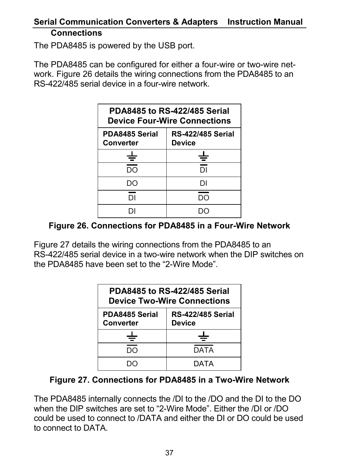#### **Serial Communication Converters & Adapters Instruction Manual Connections**

The PDA8485 is powered by the USB port.

The PDA8485 can be configured for either a four-wire or two-wire network. Figure 26 details the wiring connections from the PDA8485 to an RS-422/485 serial device in a four-wire network.

| PDA8485 to RS-422/485 Serial<br><b>Device Four-Wire Connections</b> |                                    |
|---------------------------------------------------------------------|------------------------------------|
| PDA8485 Serial<br>Converter                                         | <b>RS-422/485 Serial</b><br>Device |
|                                                                     | ╧                                  |
| DΟ                                                                  | DI.                                |
| חח                                                                  | וח                                 |
| DΙ                                                                  | חח                                 |
|                                                                     |                                    |

#### **Figure 26. Connections for PDA8485 in a Four-Wire Network**

Figure 27 details the wiring connections from the PDA8485 to an RS-422/485 serial device in a two-wire network when the DIP switches on the PDA8485 have been set to the "2-Wire Mode".

| PDA8485 to RS-422/485 Serial<br><b>Device Two-Wire Connections</b> |                                           |
|--------------------------------------------------------------------|-------------------------------------------|
| PDA8485 Serial<br>Converter                                        | <b>RS-422/485 Serial</b><br><b>Device</b> |
|                                                                    |                                           |
|                                                                    | <b>DATA</b>                               |
|                                                                    | DATA                                      |

#### **Figure 27. Connections for PDA8485 in a Two-Wire Network**

The PDA8485 internally connects the /DI to the /DO and the DI to the DO when the DIP switches are set to "2-Wire Mode". Either the /DI or /DO could be used to connect to /DATA and either the DI or DO could be used to connect to DATA.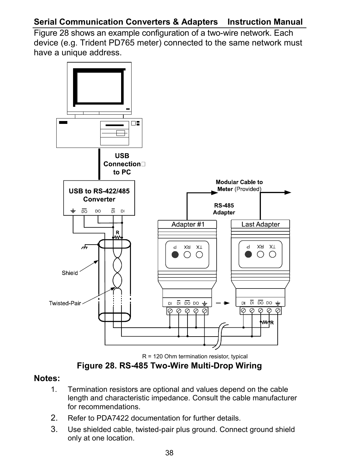### **Serial Communication Converters & Adapters Instruction Manual**

Figure 28 shows an example configuration of a two-wire network. Each device (e.g. Trident PD765 meter) connected to the same network must have a unique address.



R = 120 Ohm termination resistor, typical

**Figure 28. RS-485 Two-Wire Multi-Drop Wiring** 

#### **Notes:**

- 1. Termination resistors are optional and values depend on the cable length and characteristic impedance. Consult the cable manufacturer for recommendations.
- 2. Refer to PDA7422 documentation for further details.
- 3. Use shielded cable, twisted-pair plus ground. Connect ground shield only at one location.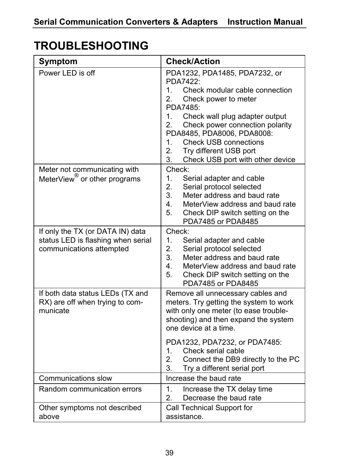## **TROUBLESHOOTING**

| Symptom                                                                                            | <b>Check/Action</b>                                                                                                                                                                                                                                                                                                                                                    |
|----------------------------------------------------------------------------------------------------|------------------------------------------------------------------------------------------------------------------------------------------------------------------------------------------------------------------------------------------------------------------------------------------------------------------------------------------------------------------------|
| Power LED is off                                                                                   | PDA1232, PDA1485, PDA7232, or<br>PDA7422:<br>1.<br>Check modular cable connection<br>2.<br>Check power to meter<br>PDA7485:<br>1 <sup>1</sup><br>Check wall plug adapter output<br>2.<br>Check power connection polarity<br>PDA8485, PDA8006, PDA8008:<br>1.<br><b>Check USB connections</b><br>2.<br>Try different USB port<br>3.<br>Check USB port with other device |
| Meter not communicating with<br>MeterView <sup>®</sup> or other programs                           | Check:<br>1.<br>Serial adapter and cable<br>2.<br>Serial protocol selected<br>3.<br>Meter address and baud rate<br>4.<br>MeterView address and baud rate<br>5.<br>Check DIP switch setting on the<br>PDA7485 or PDA8485                                                                                                                                                |
| If only the TX (or DATA IN) data<br>status LED is flashing when serial<br>communications attempted | Check:<br>1.<br>Serial adapter and cable<br>2.<br>Serial protocol selected<br>3.<br>Meter address and baud rate<br>4.<br>MeterView address and baud rate<br>5.<br>Check DIP switch setting on the<br>PDA7485 or PDA8485                                                                                                                                                |
| If both data status LEDs (TX and<br>RX) are off when trying to com-<br>municate                    | Remove all unnecessary cables and<br>meters. Try getting the system to work<br>with only one meter (to ease trouble-<br>shooting) and then expand the system<br>one device at a time.<br>PDA1232, PDA7232, or PDA7485:<br>1.<br>Check serial cable<br>2.<br>Connect the DB9 directly to the PC<br>3.<br>Try a different serial port                                    |
| Communications slow                                                                                | Increase the baud rate                                                                                                                                                                                                                                                                                                                                                 |
| Random communication errors                                                                        | 1.<br>Increase the TX delay time<br>2.<br>Decrease the baud rate                                                                                                                                                                                                                                                                                                       |
| Other symptoms not described<br>above                                                              | Call Technical Support for<br>assistance.                                                                                                                                                                                                                                                                                                                              |